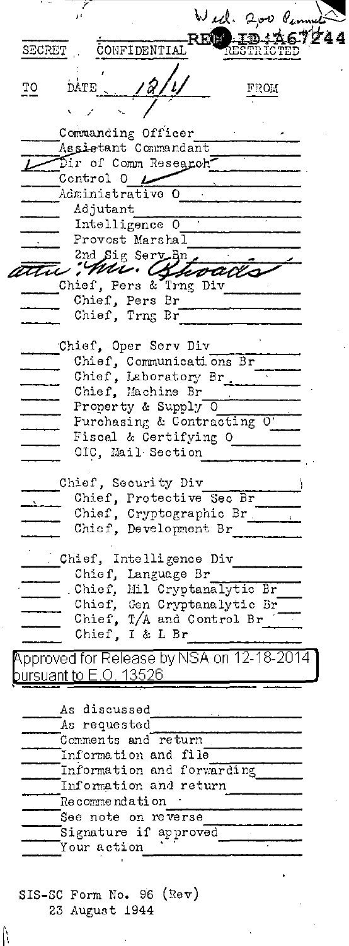Wed. 200 Pm REP ID:A67244 CONFIDENTIAL SECRET **STRICTED** TO DATE FROM Commanding Officer Assistant Commandant Dir of Comm Research-Control 0  $\sim$ Administrative O Adjutant Intelligence O Provost Marshal 2nd Sig Sery Bn the Mu. Alevado Chief, Pers Br Chief, Trng Br Chief, Oper Serv Div Chief, Communications Br Chief, Laboratory Br. Property & Supply 0 Purchasing & Contracting Fiscal & Certifying O = = OIC, Mail Section Chief, Security Div Chief, Protective Sec Br Chief, Cryptographic Br. Chief, Development Br Chief, Intelligence Div Chief, Language Br\_ . Chief, Mil Cryptanalytic Br\_ Chief, Gen Cryptanalytic Br<br>Chief, T/A and Control Br Chief, I & L Br Approved for Release by NSA on 12-18-2014 oursuant to  $E$ .O. 1352 $6$ As discussed As requested Comments and return Information and file Information and forwarding Information and return Theorem Recommendation See note on reverse Signature if approved Your action SIS-SC Form No. 96 (Rev) 23 August 1944

ĥ